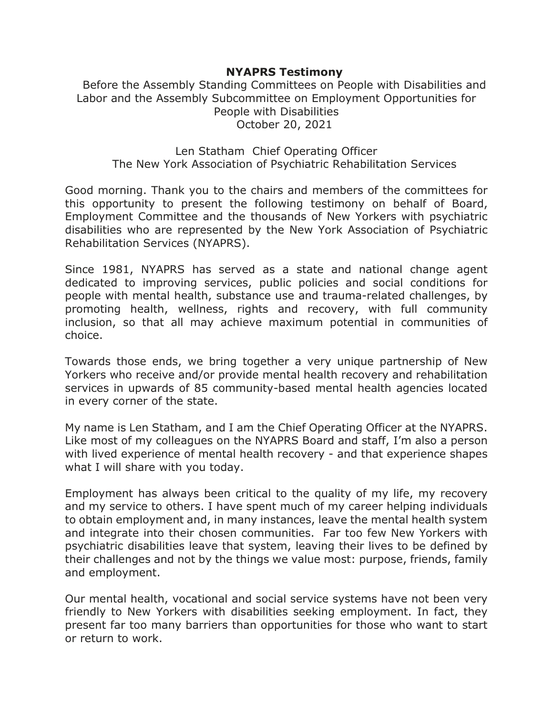## **NYAPRS Testimony**

Before the Assembly Standing Committees on People with Disabilities and Labor and the Assembly Subcommittee on Employment Opportunities for People with Disabilities October 20, 2021

## Len Statham Chief Operating Officer The New York Association of Psychiatric Rehabilitation Services

Good morning. Thank you to the chairs and members of the committees for this opportunity to present the following testimony on behalf of Board, Employment Committee and the thousands of New Yorkers with psychiatric disabilities who are represented by the New York Association of Psychiatric Rehabilitation Services (NYAPRS).

Since 1981, NYAPRS has served as a state and national change agent dedicated to improving services, public policies and social conditions for people with mental health, substance use and trauma-related challenges, by promoting health, wellness, rights and recovery, with full community inclusion, so that all may achieve maximum potential in communities of choice.

Towards those ends, we bring together a very unique partnership of New Yorkers who receive and/or provide mental health recovery and rehabilitation services in upwards of 85 community-based mental health agencies located in every corner of the state.

My name is Len Statham, and I am the Chief Operating Officer at the NYAPRS. Like most of my colleagues on the NYAPRS Board and staff, I'm also a person with lived experience of mental health recovery - and that experience shapes what I will share with you today.

Employment has always been critical to the quality of my life, my recovery and my service to others. I have spent much of my career helping individuals to obtain employment and, in many instances, leave the mental health system and integrate into their chosen communities. Far too few New Yorkers with psychiatric disabilities leave that system, leaving their lives to be defined by their challenges and not by the things we value most: purpose, friends, family and employment.

Our mental health, vocational and social service systems have not been very friendly to New Yorkers with disabilities seeking employment. In fact, they present far too many barriers than opportunities for those who want to start or return to work.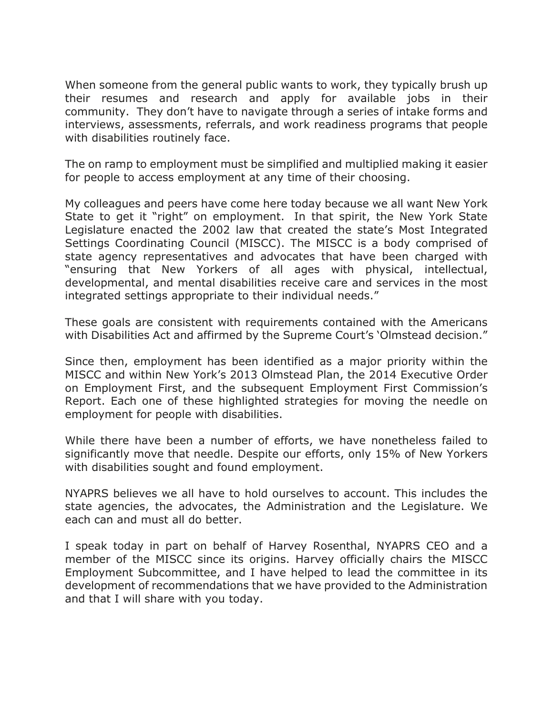When someone from the general public wants to work, they typically brush up their resumes and research and apply for available jobs in their community. They don't have to navigate through a series of intake forms and interviews, assessments, referrals, and work readiness programs that people with disabilities routinely face.

The on ramp to employment must be simplified and multiplied making it easier for people to access employment at any time of their choosing.

My colleagues and peers have come here today because we all want New York State to get it "right" on employment. In that spirit, the New York State Legislature enacted the 2002 law that created the state's Most Integrated Settings Coordinating Council (MISCC). The MISCC is a body comprised of state agency representatives and advocates that have been charged with "ensuring that New Yorkers of all ages with physical, intellectual, developmental, and mental disabilities receive care and services in the most integrated settings appropriate to their individual needs."

These goals are consistent with requirements contained with the Americans with Disabilities Act and affirmed by the Supreme Court's 'Olmstead decision."

Since then, employment has been identified as a major priority within the MISCC and within New York's 2013 Olmstead Plan, the 2014 Executive Order on Employment First, and the subsequent Employment First Commission's Report. Each one of these highlighted strategies for moving the needle on employment for people with disabilities.

While there have been a number of efforts, we have nonetheless failed to significantly move that needle. Despite our efforts, only 15% of New Yorkers with disabilities sought and found employment.

NYAPRS believes we all have to hold ourselves to account. This includes the state agencies, the advocates, the Administration and the Legislature. We each can and must all do better.

I speak today in part on behalf of Harvey Rosenthal, NYAPRS CEO and a member of the MISCC since its origins. Harvey officially chairs the MISCC Employment Subcommittee, and I have helped to lead the committee in its development of recommendations that we have provided to the Administration and that I will share with you today.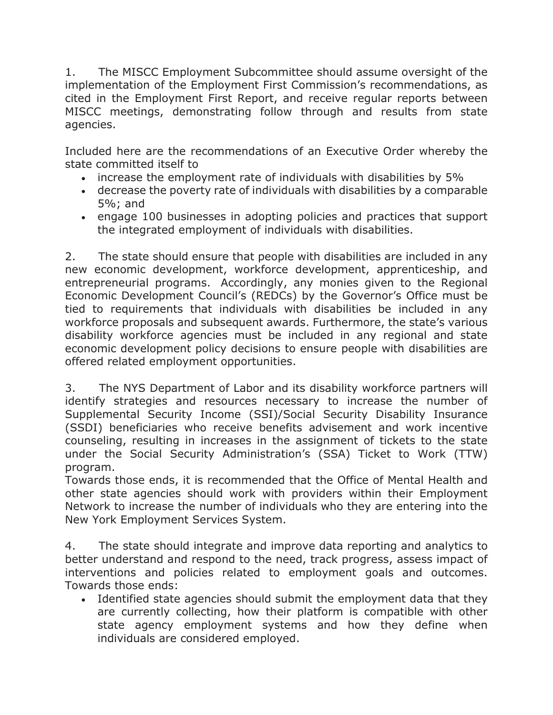1. The MISCC Employment Subcommittee should assume oversight of the implementation of the Employment First Commission's recommendations, as cited in the Employment First Report, and receive regular reports between MISCC meetings, demonstrating follow through and results from state agencies.

Included here are the recommendations of an Executive Order whereby the state committed itself to

- increase the employment rate of individuals with disabilities by 5%
- decrease the poverty rate of individuals with disabilities by a comparable 5%; and
- engage 100 businesses in adopting policies and practices that support the integrated employment of individuals with disabilities.

2. The state should ensure that people with disabilities are included in any new economic development, workforce development, apprenticeship, and entrepreneurial programs. Accordingly, any monies given to the Regional Economic Development Council's (REDCs) by the Governor's Office must be tied to requirements that individuals with disabilities be included in any workforce proposals and subsequent awards. Furthermore, the state's various disability workforce agencies must be included in any regional and state economic development policy decisions to ensure people with disabilities are offered related employment opportunities.

3. The NYS Department of Labor and its disability workforce partners will identify strategies and resources necessary to increase the number of Supplemental Security Income (SSI)/Social Security Disability Insurance (SSDI) beneficiaries who receive benefits advisement and work incentive counseling, resulting in increases in the assignment of tickets to the state under the Social Security Administration's (SSA) Ticket to Work (TTW) program.

Towards those ends, it is recommended that the Office of Mental Health and other state agencies should work with providers within their Employment Network to increase the number of individuals who they are entering into the New York Employment Services System.

4. The state should integrate and improve data reporting and analytics to better understand and respond to the need, track progress, assess impact of interventions and policies related to employment goals and outcomes. Towards those ends:

• Identified state agencies should submit the employment data that they are currently collecting, how their platform is compatible with other state agency employment systems and how they define when individuals are considered employed.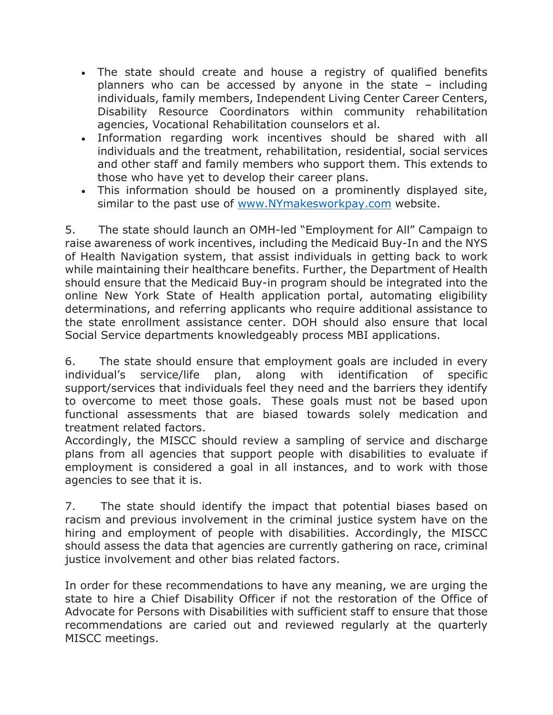- The state should create and house a registry of qualified benefits planners who can be accessed by anyone in the state – including individuals, family members, Independent Living Center Career Centers, Disability Resource Coordinators within community rehabilitation agencies, Vocational Rehabilitation counselors et al.
- Information regarding work incentives should be shared with all individuals and the treatment, rehabilitation, residential, social services and other staff and family members who support them. This extends to those who have yet to develop their career plans.
- This information should be housed on a prominently displayed site, similar to the past use of [www.NYmakesworkpay.com](https://nam02.safelinks.protection.outlook.com/?url=http%3A%2F%2Fwww.nymakesworkpay.com%2F&data=04%7C01%7Crmc277%40shp.rutgers.edu%7Ce30d15b9b1e84c0195d008d994954356%7Cb92d2b234d35447093ff69aca6632ffe%7C1%7C0%7C637704191146160473%7CUnknown%7CTWFpbGZsb3d8eyJWIjoiMC4wLjAwMDAiLCJQIjoiV2luMzIiLCJBTiI6Ik1haWwiLCJXVCI6Mn0%3D%7C1000&sdata=ZvCdoHM3B%2Fqpi7ZBEjVB%2FvWc27Lw2GIM0E9jBug2ffo%3D&reserved=0) website.

5. The state should launch an OMH-led "Employment for All" Campaign to raise awareness of work incentives, including the Medicaid Buy-In and the NYS of Health Navigation system, that assist individuals in getting back to work while maintaining their healthcare benefits. Further, the Department of Health should ensure that the Medicaid Buy-in program should be integrated into the online New York State of Health application portal, automating eligibility determinations, and referring applicants who require additional assistance to the state enrollment assistance center. DOH should also ensure that local Social Service departments knowledgeably process MBI applications.

6. The state should ensure that employment goals are included in every individual's service/life plan, along with identification of specific support/services that individuals feel they need and the barriers they identify to overcome to meet those goals. These goals must not be based upon functional assessments that are biased towards solely medication and treatment related factors.

Accordingly, the MISCC should review a sampling of service and discharge plans from all agencies that support people with disabilities to evaluate if employment is considered a goal in all instances, and to work with those agencies to see that it is.

7. The state should identify the impact that potential biases based on racism and previous involvement in the criminal justice system have on the hiring and employment of people with disabilities. Accordingly, the MISCC should assess the data that agencies are currently gathering on race, criminal justice involvement and other bias related factors.

In order for these recommendations to have any meaning, we are urging the state to hire a Chief Disability Officer if not the restoration of the Office of Advocate for Persons with Disabilities with sufficient staff to ensure that those recommendations are caried out and reviewed regularly at the quarterly MISCC meetings.